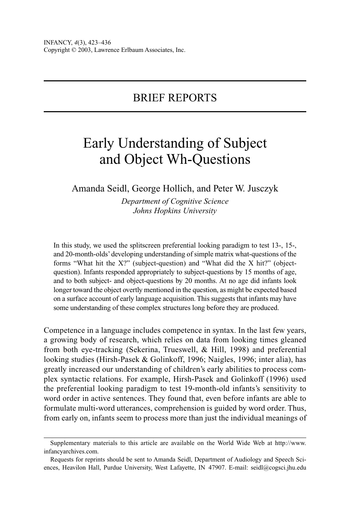## BRIEF REPORTS

# Early Understanding of Subject and Object Wh-Questions

## Amanda Seidl, George Hollich, and Peter W. Jusczyk

*Department of Cognitive Science Johns Hopkins University*

In this study, we used the splitscreen preferential looking paradigm to test 13-, 15-, and 20-month-olds' developing understanding of simple matrix what-questions of the forms "What hit the X?" (subject-question) and "What did the X hit?" (objectquestion). Infants responded appropriately to subject-questions by 15 months of age, and to both subject- and object-questions by 20 months. At no age did infants look longer toward the object overtly mentioned in the question, as might be expected based on a surface account of early language acquisition. This suggests that infants may have some understanding of these complex structures long before they are produced.

Competence in a language includes competence in syntax. In the last few years, a growing body of research, which relies on data from looking times gleaned from both eye-tracking (Sekerina, Trueswell, & Hill, 1998) and preferential looking studies (Hirsh-Pasek & Golinkoff, 1996; Naigles, 1996; inter alia), has greatly increased our understanding of children's early abilities to process complex syntactic relations. For example, Hirsh-Pasek and Golinkoff (1996) used the preferential looking paradigm to test 19-month-old infants's sensitivity to word order in active sentences. They found that, even before infants are able to formulate multi-word utterances, comprehension is guided by word order. Thus, from early on, infants seem to process more than just the individual meanings of

Supplementary materials to this article are available on the World Wide Web at http://www. infancyarchives.com.

Requests for reprints should be sent to Amanda Seidl, Department of Audiology and Speech Sciences, Heavilon Hall, Purdue University, West Lafayette, IN 47907. E-mail: seidl@cogsci.jhu.edu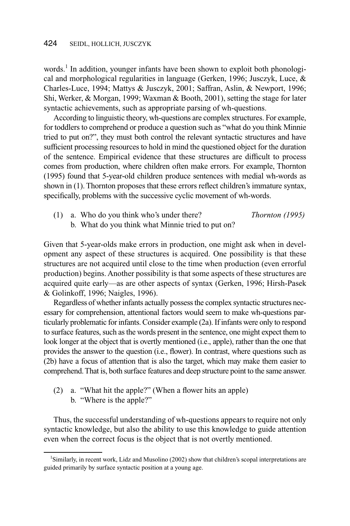words.<sup>1</sup> In addition, younger infants have been shown to exploit both phonological and morphological regularities in language (Gerken, 1996; Jusczyk, Luce, & Charles-Luce, 1994; Mattys & Jusczyk, 2001; Saffran, Aslin, & Newport, 1996; Shi, Werker, & Morgan, 1999; Waxman & Booth, 2001), setting the stage for later syntactic achievements, such as appropriate parsing of wh-questions.

According to linguistic theory, wh-questions are complex structures. For example, for toddlers to comprehend or produce a question such as "what do you think Minnie tried to put on?", they must both control the relevant syntactic structures and have sufficient processing resources to hold in mind the questioned object for the duration of the sentence. Empirical evidence that these structures are difficult to process comes from production, where children often make errors. For example, Thornton (1995) found that 5-year-old children produce sentences with medial wh-words as shown in (1). Thornton proposes that these errors reflect children's immature syntax, specifically, problems with the successive cyclic movement of wh-words.

(1) a. Who do you think who's under there? *Thornton (1995)* b. What do you think what Minnie tried to put on?

Given that 5-year-olds make errors in production, one might ask when in development any aspect of these structures is acquired. One possibility is that these structures are not acquired until close to the time when production (even errorful production) begins. Another possibility is that some aspects of these structures are acquired quite early—as are other aspects of syntax (Gerken, 1996; Hirsh-Pasek & Golinkoff, 1996; Naigles, 1996).

Regardless of whether infants actually possess the complex syntactic structures necessary for comprehension, attentional factors would seem to make wh-questions particularly problematic for infants. Consider example (2a). If infants were only to respond to surface features, such as the words present in the sentence, one might expect them to look longer at the object that is overtly mentioned (i.e., apple), rather than the one that provides the answer to the question (i.e., flower). In contrast, where questions such as (2b) have a focus of attention that is also the target, which may make them easier to comprehend. That is, both surface features and deep structure point to the same answer.

- (2) a. "What hit the apple?" (When a flower hits an apple)
	- b. "Where is the apple?"

Thus, the successful understanding of wh-questions appears to require not only syntactic knowledge, but also the ability to use this knowledge to guide attention even when the correct focus is the object that is not overtly mentioned.

<sup>&</sup>lt;sup>1</sup>Similarly, in recent work, Lidz and Musolino (2002) show that children's scopal interpretations are guided primarily by surface syntactic position at a young age.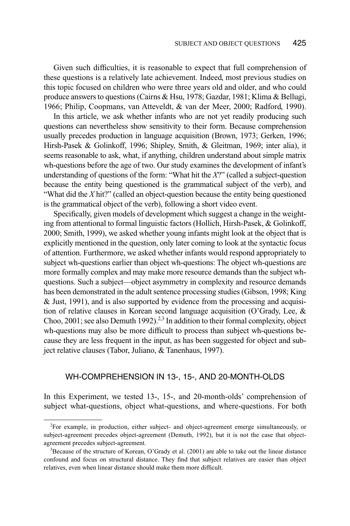Given such difficulties, it is reasonable to expect that full comprehension of these questions is a relatively late achievement. Indeed, most previous studies on this topic focused on children who were three years old and older, and who could produce answers to questions (Cairns & Hsu, 1978; Gazdar, 1981; Klima & Bellugi, 1966; Philip, Coopmans, van Atteveldt, & van der Meer, 2000; Radford, 1990).

In this article, we ask whether infants who are not yet readily producing such questions can nevertheless show sensitivity to their form. Because comprehension usually precedes production in language acquisition (Brown, 1973; Gerken, 1996; Hirsh-Pasek & Golinkoff, 1996; Shipley, Smith, & Gleitman, 1969; inter alia), it seems reasonable to ask, what, if anything, children understand about simple matrix wh-questions before the age of two. Our study examines the development of infant's understanding of questions of the form: "What hit the *X*?" (called a subject-question because the entity being questioned is the grammatical subject of the verb), and "What did the *X* hit?" (called an object-question because the entity being questioned is the grammatical object of the verb), following a short video event.

Specifically, given models of development which suggest a change in the weighting from attentional to formal linguistic factors (Hollich, Hirsh-Pasek, & Golinkoff, 2000; Smith, 1999), we asked whether young infants might look at the object that is explicitly mentioned in the question, only later coming to look at the syntactic focus of attention. Furthermore, we asked whether infants would respond appropriately to subject wh-questions earlier than object wh-questions: The object wh-questions are more formally complex and may make more resource demands than the subject whquestions. Such a subject—object asymmetry in complexity and resource demands has been demonstrated in the adult sentence processing studies (Gibson, 1998; King & Just, 1991), and is also supported by evidence from the processing and acquisition of relative clauses in Korean second language acquisition (O'Grady, Lee, & Choo, 2001; see also Demuth 1992).<sup>2,3</sup> In addition to their formal complexity, object wh-questions may also be more difficult to process than subject wh-questions because they are less frequent in the input, as has been suggested for object and subject relative clauses (Tabor, Juliano, & Tanenhaus, 1997).

## WH-COMPREHENSION IN 13-, 15-, AND 20-MONTH-OLDS

In this Experiment, we tested 13-, 15-, and 20-month-olds' comprehension of subject what-questions, object what-questions, and where-questions. For both

<sup>&</sup>lt;sup>2</sup>For example, in production, either subject- and object-agreement emerge simultaneously, or subject-agreement precedes object-agreement (Demuth, 1992), but it is not the case that objectagreement precedes subject-agreement.

 $3$ Because of the structure of Korean, O'Grady et al. (2001) are able to take out the linear distance confound and focus on structural distance. They find that subject relatives are easier than object relatives, even when linear distance should make them more difficult.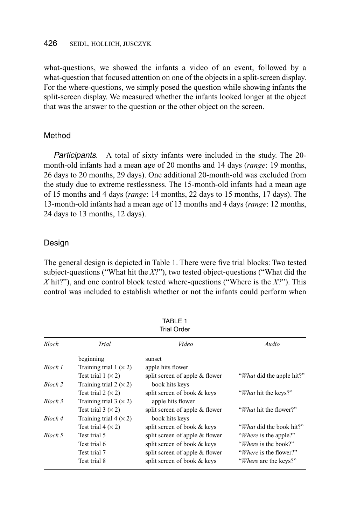### 426 SEIDL, HOLLICH, JUSCZYK

what-questions, we showed the infants a video of an event, followed by a what-question that focused attention on one of the objects in a split-screen display. For the where-questions, we simply posed the question while showing infants the split-screen display. We measured whether the infants looked longer at the object that was the answer to the question or the other object on the screen.

### Method

Participants. A total of sixty infants were included in the study. The 20 month-old infants had a mean age of 20 months and 14 days (*range*: 19 months, 26 days to 20 months, 29 days). One additional 20-month-old was excluded from the study due to extreme restlessness. The 15-month-old infants had a mean age of 15 months and 4 days (*range*: 14 months, 22 days to 15 months, 17 days). The 13-month-old infants had a mean age of 13 months and 4 days (*range*: 12 months, 24 days to 13 months, 12 days).

#### Design

The general design is depicted in Table 1. There were five trial blocks: Two tested subject-questions ("What hit the *X*?"), two tested object-questions ("What did the *X* hit?"), and one control block tested where-questions ("Where is the *X*?"). This control was included to establish whether or not the infants could perform when

| <b>Trial Order</b> |                             |                                |                                   |  |  |  |  |
|--------------------|-----------------------------|--------------------------------|-----------------------------------|--|--|--|--|
| <b>Block</b>       | Trial                       | Video                          | Audio                             |  |  |  |  |
|                    | beginning                   | sunset                         |                                   |  |  |  |  |
| Block 1            | Training trial $1 \times 2$ | apple hits flower              |                                   |  |  |  |  |
|                    | Test trial $1 (x 2)$        | split screen of apple & flower | " <i>What</i> did the apple hit?" |  |  |  |  |
| Block 2            | Training trial $2 \times 2$ | book hits keys                 |                                   |  |  |  |  |
|                    | Test trial $2 (x 2)$        | split screen of book & keys    | "What hit the keys?"              |  |  |  |  |
| Block 3            | Training trial $3 \times 2$ | apple hits flower              |                                   |  |  |  |  |
|                    | Test trial $3 (x 2)$        | split screen of apple & flower | " <i>What</i> hit the flower?"    |  |  |  |  |
| Block 4            | Training trial $4 \times 2$ | book hits keys                 |                                   |  |  |  |  |
|                    | Test trial $4 \times 2$     | split screen of book & keys    | " <i>What</i> did the book hit?"  |  |  |  |  |
| Block 5            | Test trial 5                | split screen of apple & flower | " <i>Where</i> is the apple?"     |  |  |  |  |
|                    | Test trial 6                | split screen of book & keys    | " <i>Where</i> is the book?"      |  |  |  |  |
|                    | Test trial 7                | split screen of apple & flower | "Where is the flower?"            |  |  |  |  |
|                    | Test trial 8                | split screen of book & keys    | "Where are the keys?"             |  |  |  |  |

TABLE 1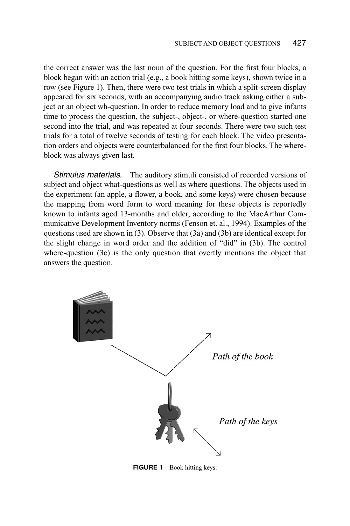the correct answer was the last noun of the question. For the first four blocks, a block began with an action trial (e.g., a book hitting some keys), shown twice in a row (see Figure 1). Then, there were two test trials in which a split-screen display appeared for six seconds, with an accompanying audio track asking either a subject or an object wh-question. In order to reduce memory load and to give infants time to process the question, the subject-, object-, or where-question started one second into the trial, and was repeated at four seconds. There were two such test trials for a total of twelve seconds of testing for each block. The video presentation orders and objects were counterbalanced for the first four blocks. The whereblock was always given last.

Stimulus materials. The auditory stimuli consisted of recorded versions of subject and object what-questions as well as where questions. The objects used in the experiment (an apple, a flower, a book, and some keys) were chosen because the mapping from word form to word meaning for these objects is reportedly known to infants aged 13-months and older, according to the MacArthur Communicative Development Inventory norms (Fenson et. al., 1994). Examples of the questions used are shown in (3). Observe that (3a) and (3b) are identical except for the slight change in word order and the addition of "did" in (3b). The control where-question (3c) is the only question that overtly mentions the object that answers the question.



**FIGURE 1** Book hitting keys.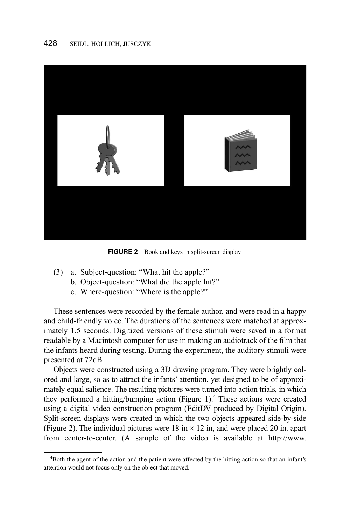

**FIGURE 2** Book and keys in split-screen display.

- (3) a. Subject-question: "What hit the apple?"
	- b. Object-question: "What did the apple hit?"
	- c. Where-question: "Where is the apple?"

These sentences were recorded by the female author, and were read in a happy and child-friendly voice. The durations of the sentences were matched at approximately 1.5 seconds. Digitized versions of these stimuli were saved in a format readable by a Macintosh computer for use in making an audiotrack of the film that the infants heard during testing. During the experiment, the auditory stimuli were presented at 72dB.

Objects were constructed using a 3D drawing program. They were brightly colored and large, so as to attract the infants' attention, yet designed to be of approximately equal salience. The resulting pictures were turned into action trials, in which they performed a hitting/bumping action (Figure 1).<sup>4</sup> These actions were created using a digital video construction program (EditDV produced by Digital Origin). Split-screen displays were created in which the two objects appeared side-by-side (Figure 2). The individual pictures were 18 in  $\times$  12 in, and were placed 20 in. apart from center-to-center. (A sample of the video is available at http://www.

<sup>4</sup> Both the agent of the action and the patient were affected by the hitting action so that an infant's attention would not focus only on the object that moved.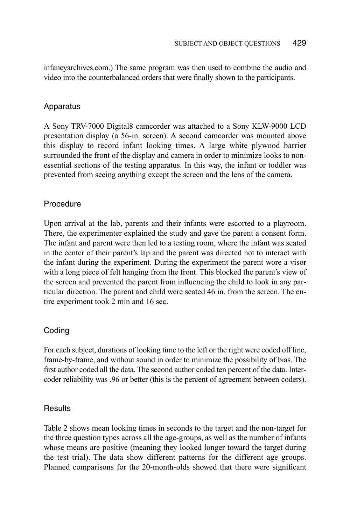infancyarchives.com.) The same program was then used to combine the audio and video into the counterbalanced orders that were finally shown to the participants.

## Apparatus

A Sony TRV-7000 Digital8 camcorder was attached to a Sony KLW-9000 LCD presentation display (a 56-in. screen). A second camcorder was mounted above this display to record infant looking times. A large white plywood barrier surrounded the front of the display and camera in order to minimize looks to nonessential sections of the testing apparatus. In this way, the infant or toddler was prevented from seeing anything except the screen and the lens of the camera.

## **Procedure**

Upon arrival at the lab, parents and their infants were escorted to a playroom. There, the experimenter explained the study and gave the parent a consent form. The infant and parent were then led to a testing room, where the infant was seated in the center of their parent's lap and the parent was directed not to interact with the infant during the experiment. During the experiment the parent wore a visor with a long piece of felt hanging from the front. This blocked the parent's view of the screen and prevented the parent from influencing the child to look in any particular direction. The parent and child were seated 46 in. from the screen. The entire experiment took 2 min and 16 sec.

## Coding

For each subject, durations of looking time to the left or the right were coded off line, frame-by-frame, and without sound in order to minimize the possibility of bias. The first author coded all the data. The second author coded ten percent of the data. Intercoder reliability was .96 or better (this is the percent of agreement between coders).

## **Results**

Table 2 shows mean looking times in seconds to the target and the non-target for the three question types across all the age-groups, as well as the number of infants whose means are positive (meaning they looked longer toward the target during the test trial). The data show different patterns for the different age groups. Planned comparisons for the 20-month-olds showed that there were significant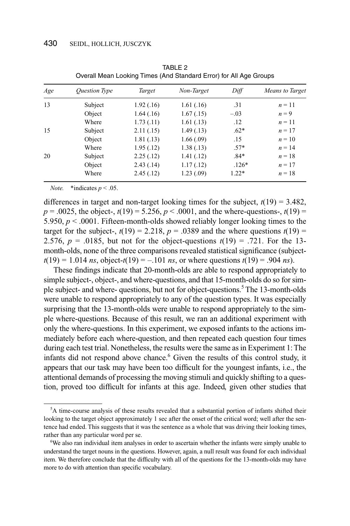| Age | <b>Ouestion Type</b> | Target     | Non-Target | Diff    | Means to Target |
|-----|----------------------|------------|------------|---------|-----------------|
| 13  | Subject              | 1.92(0.16) | 1.61(.16)  | .31     | $n = 11$        |
|     | Object               | 1.64(0.16) | 1.67(0.15) | $-.03$  | $n = 9$         |
|     | Where                | 1.73(0.11) | 1.61(0.13) | .12     | $n=11$          |
| 15  | Subject              | 2.11(.15)  | 1.49(0.13) | $.62*$  | $n=17$          |
|     | Object               | 1.81(.13)  | 1.66(.09)  | .15     | $n=10$          |
|     | Where                | 1.95(.12)  | 1.38(0.13) | $.57*$  | $n = 14$        |
| 20  | Subject              | 2.25(.12)  | 1.41(0.12) | $.84*$  | $n = 18$        |
|     | Object               | 2.43(0.14) | 1.17(0.12) | $.126*$ | $n=17$          |
|     | Where                | 2.45(.12)  | 1.23(0.09) | $1.22*$ | $n = 18$        |

TABLE<sub>2</sub> Overall Mean Looking Times (And Standard Error) for All Age Groups

*Note.* \*indicates  $p < .05$ .

differences in target and non-target looking times for the subject,  $t(19) = 3.482$ ,  $p = .0025$ , the object-,  $t(19) = 5.256$ ,  $p < .0001$ , and the where-questions-,  $t(19) =$ 5.950,  $p < .0001$ . Fifteen-month-olds showed reliably longer looking times to the target for the subject-,  $t(19) = 2.218$ ,  $p = .0389$  and the where questions  $t(19) =$ 2.576,  $p = .0185$ , but not for the object-questions  $t(19) = .721$ . For the 13month-olds, none of the three comparisons revealed statistical significance (subject $t(19) = 1.014$  *ns*, object- $t(19) = -.101$  *ns*, or where questions  $t(19) = .904$  *ns*).

These findings indicate that 20-month-olds are able to respond appropriately to simple subject-, object-, and where-questions, and that 15-month-olds do so for simple subject- and where- questions, but not for object-questions.5 The 13-month-olds were unable to respond appropriately to any of the question types. It was especially surprising that the 13-month-olds were unable to respond appropriately to the simple where-questions. Because of this result, we ran an additional experiment with only the where-questions. In this experiment, we exposed infants to the actions immediately before each where-question, and then repeated each question four times during each test trial. Nonetheless, the results were the same as in Experiment 1: The infants did not respond above chance. $6$  Given the results of this control study, it appears that our task may have been too difficult for the youngest infants, i.e., the attentional demands of processing the moving stimuli and quickly shifting to a question, proved too difficult for infants at this age. Indeed, given other studies that

<sup>&</sup>lt;sup>5</sup>A time-course analysis of these results revealed that a substantial portion of infants shifted their looking to the target object approximately 1 sec after the onset of the critical word; well after the sentence had ended. This suggests that it was the sentence as a whole that was driving their looking times, rather than any particular word per se.

<sup>&</sup>lt;sup>6</sup>We also ran individual item analyses in order to ascertain whether the infants were simply unable to understand the target nouns in the questions. However, again, a null result was found for each individual item. We therefore conclude that the difficulty with all of the questions for the 13-month-olds may have more to do with attention than specific vocabulary.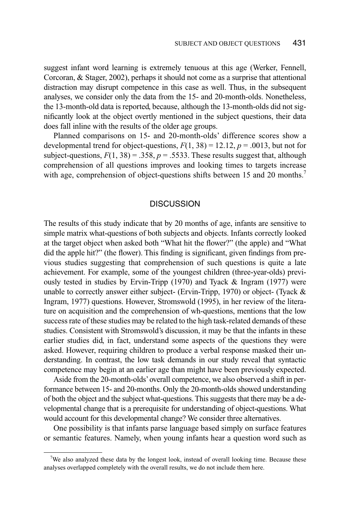suggest infant word learning is extremely tenuous at this age (Werker, Fennell, Corcoran, & Stager, 2002), perhaps it should not come as a surprise that attentional distraction may disrupt competence in this case as well. Thus, in the subsequent analyses, we consider only the data from the 15- and 20-month-olds. Nonetheless, the 13-month-old data is reported, because, although the 13-month-olds did not significantly look at the object overtly mentioned in the subject questions, their data does fall inline with the results of the older age groups.

Planned comparisons on 15- and 20-month-olds' difference scores show a developmental trend for object-questions,  $F(1, 38) = 12.12$ ,  $p = .0013$ , but not for subject-questions,  $F(1, 38) = .358$ ,  $p = .5533$ . These results suggest that, although comprehension of all questions improves and looking times to targets increase with age, comprehension of object-questions shifts between 15 and 20 months.<sup>7</sup>

### **DISCUSSION**

The results of this study indicate that by 20 months of age, infants are sensitive to simple matrix what-questions of both subjects and objects. Infants correctly looked at the target object when asked both "What hit the flower?" (the apple) and "What did the apple hit?" (the flower). This finding is significant, given findings from previous studies suggesting that comprehension of such questions is quite a late achievement. For example, some of the youngest children (three-year-olds) previously tested in studies by Ervin-Tripp (1970) and Tyack & Ingram (1977) were unable to correctly answer either subject- (Ervin-Tripp, 1970) or object- (Tyack & Ingram, 1977) questions. However, Stromswold (1995), in her review of the literature on acquisition and the comprehension of wh-questions, mentions that the low success rate of these studies may be related to the high task-related demands of these studies. Consistent with Stromswold's discussion, it may be that the infants in these earlier studies did, in fact, understand some aspects of the questions they were asked. However, requiring children to produce a verbal response masked their understanding. In contrast, the low task demands in our study reveal that syntactic competence may begin at an earlier age than might have been previously expected.

Aside from the 20-month-olds'overall competence, we also observed a shift in performance between 15- and 20-months. Only the 20-month-olds showed understanding of both the object and the subject what-questions. This suggests that there may be a developmental change that is a prerequisite for understanding of object-questions. What would account for this developmental change? We consider three alternatives.

One possibility is that infants parse language based simply on surface features or semantic features. Namely, when young infants hear a question word such as

<sup>&</sup>lt;sup>7</sup>We also analyzed these data by the longest look, instead of overall looking time. Because these analyses overlapped completely with the overall results, we do not include them here.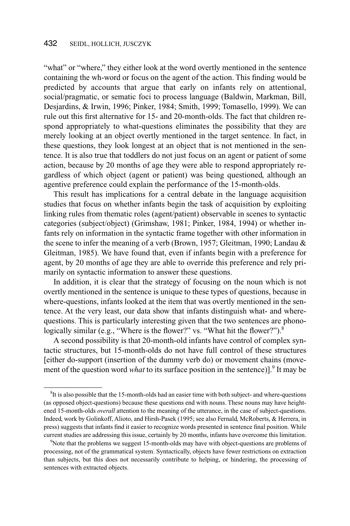"what" or "where," they either look at the word overtly mentioned in the sentence containing the wh-word or focus on the agent of the action. This finding would be predicted by accounts that argue that early on infants rely on attentional, social/pragmatic, or sematic foci to process language (Baldwin, Markman, Bill, Desjardins, & Irwin, 1996; Pinker, 1984; Smith, 1999; Tomasello, 1999). We can rule out this first alternative for 15- and 20-month-olds. The fact that children respond appropriately to what-questions eliminates the possibility that they are merely looking at an object overtly mentioned in the target sentence. In fact, in these questions, they look longest at an object that is not mentioned in the sentence. It is also true that toddlers do not just focus on an agent or patient of some action, because by 20 months of age they were able to respond appropriately regardless of which object (agent or patient) was being questioned, although an agentive preference could explain the performance of the 15-month-olds.

This result has implications for a central debate in the language acquisition studies that focus on whether infants begin the task of acquisition by exploiting linking rules from thematic roles (agent/patient) observable in scenes to syntactic categories (subject/object) (Grimshaw, 1981; Pinker, 1984, 1994) or whether infants rely on information in the syntactic frame together with other information in the scene to infer the meaning of a verb (Brown, 1957; Gleitman, 1990; Landau & Gleitman, 1985). We have found that, even if infants begin with a preference for agent, by 20 months of age they are able to override this preference and rely primarily on syntactic information to answer these questions.

In addition, it is clear that the strategy of focusing on the noun which is not overtly mentioned in the sentence is unique to these types of questions, because in where-questions, infants looked at the item that was overtly mentioned in the sentence. At the very least, our data show that infants distinguish what- and wherequestions. This is particularly interesting given that the two sentences are phonologically similar (e.g., "Where is the flower?" vs. "What hit the flower?").<sup>8</sup>

A second possibility is that 20-month-old infants have control of complex syntactic structures, but 15-month-olds do not have full control of these structures [either do-support (insertion of the dummy verb do) or movement chains (movement of the question word *what* to its surface position in the sentence)].<sup>9</sup> It may be

<sup>&</sup>lt;sup>8</sup>It is also possible that the 15-month-olds had an easier time with both subject- and where-questions (as opposed object-questions) because these questions end with nouns. These nouns may have heightened 15-month-olds *overall* attention to the meaning of the utterance, in the case of subject-questions. Indeed, work by Golinkoff, Alioto, and Hirsh-Pasek (1995; see also Fernald, McRoberts, & Herrera, in press) suggests that infants find it easier to recognize words presented in sentence final position. While current studies are addressing this issue, certainly by 20 months, infants have overcome this limitation.

<sup>&</sup>lt;sup>9</sup>Note that the problems we suggest 15-month-olds may have with object-questions are problems of processing, not of the grammatical system. Syntactically, objects have fewer restrictions on extraction than subjects, but this does not necessarily contribute to helping, or hindering, the processing of sentences with extracted objects.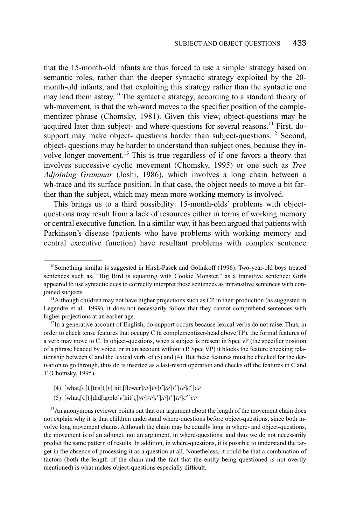that the 15-month-old infants are thus forced to use a simpler strategy based on semantic roles, rather than the deeper syntactic strategy exploited by the 20 month-old infants, and that exploiting this strategy rather than the syntactic one may lead them astray.10 The syntactic strategy, according to a standard theory of wh-movement, is that the wh-word moves to the specifier position of the complementizer phrase (Chomsky, 1981). Given this view, object-questions may be acquired later than subject- and where-questions for several reasons.<sup>11</sup> First, dosupport may make object- questions harder than subject-questions.<sup>12</sup> Second, object- questions may be harder to understand than subject ones, because they involve longer movement.<sup>13</sup> This is true regardless of if one favors a theory that involves successive cyclic movement (Chomsky, 1995) or one such as *Tree Adjoining Grammar* (Joshi, 1986), which involves a long chain between a wh-trace and its surface position. In that case, the object needs to move a bit farther than the subject, which may mean more working memory is involved.

This brings us to a third possibility: 15-month-olds' problems with objectquestions may result from a lack of resources either in terms of working memory or central executive function. In a similar way, it has been argued that patients with Parkinson's disease (patients who have problems with working memory and central executive function) have resultant problems with complex sentence

 $<sup>12</sup>$ In a generative account of English, do-support occurs because lexical verbs do not raise. Thus, in</sup> order to check tense features that occupy C (a complementizer-head above TP), the formal features of a verb may move to C. In object-questions, when a subject is present in Spec *v*P (the specifier position of a phrase headed by voice, or in an account without *v*P, Spec VP) it blocks the feature checking relationship between C and the lexical verb, cf  $(5)$  and  $(4)$ . But these features must be checked for the derivation to go through, thus do is inserted as a last-resort operation and checks off the features in C and T (Chomsky, 1995).

- (4) [what*<sup>i</sup>* [C[t*<sup>i</sup>* [tns[t*<sup>i</sup>* [*v*[ hit [flower]*NP*]*VP*]*i*′]*iP*]*T*′]*TP*]*C*′]*CP*
- (5)  $[\text{what}_i[\text{C}[\text{t}_i[\text{did}[\text{apple}[\text{v}[\text{hit}[\text{t}_i]\text{NP}]\text{VP}]\text{i}']\text{i}P]\text{T}']\text{T}P]\text{C}']\text{CP}$

 $10$ Something similar is suggested in Hirsh-Pasek and Golinkoff (1996): Two-year-old boys treated sentences such as, "Big Bird is squatting with Cookie Monster," as a transitive sentence: Girls appeared to use syntactic cues to correctly interpret these sentences as intransitive sentences with conjoined subjects.

 $<sup>11</sup>$ Although children may not have higher projections such as CP in their production (as suggested in</sup> Legendre et al., 1999), it does not necessarily follow that they cannot comprehend sentences with higher projections at an earlier age.

<sup>&</sup>lt;sup>13</sup>An anonymous reviewer points out that our argument about the length of the movement chain does not explain why it is that children understand where-questions before object-questions, since both involve long movement chains. Although the chain may be equally long in where- and object-questions, the movement is of an adjunct, not an argument, in where-questions, and thus we do not necessarily predict the same pattern of results. In addition, in where-questions, it is possible to understand the target in the absence of processing it as a question at all. Nonetheless, it could be that a combination of factors (both the length of the chain and the fact that the entity being questioned is not overtly mentioned) is what makes object-questions especially difficult.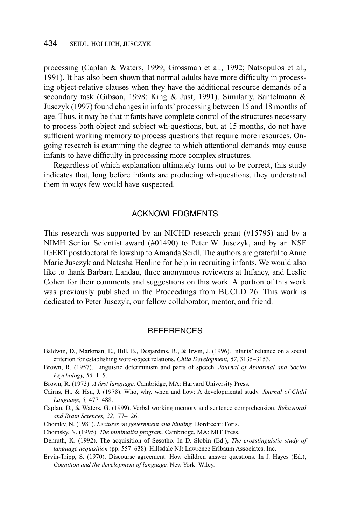processing (Caplan & Waters, 1999; Grossman et al., 1992; Natsopulos et al., 1991). It has also been shown that normal adults have more difficulty in processing object-relative clauses when they have the additional resource demands of a secondary task (Gibson, 1998; King & Just, 1991). Similarly, Santelmann & Jusczyk (1997) found changes in infants' processing between 15 and 18 months of age. Thus, it may be that infants have complete control of the structures necessary to process both object and subject wh-questions, but, at 15 months, do not have sufficient working memory to process questions that require more resources. Ongoing research is examining the degree to which attentional demands may cause infants to have difficulty in processing more complex structures.

Regardless of which explanation ultimately turns out to be correct, this study indicates that, long before infants are producing wh-questions, they understand them in ways few would have suspected.

### ACKNOWLEDGMENTS

This research was supported by an NICHD research grant (#15795) and by a NIMH Senior Scientist award (#01490) to Peter W. Jusczyk, and by an NSF IGERT postdoctoral fellowship to Amanda Seidl. The authors are grateful to Anne Marie Jusczyk and Natasha Henline for help in recruiting infants. We would also like to thank Barbara Landau, three anonymous reviewers at Infancy, and Leslie Cohen for their comments and suggestions on this work. A portion of this work was previously published in the Proceedings from BUCLD 26. This work is dedicated to Peter Jusczyk, our fellow collaborator, mentor, and friend.

#### **REFERENCES**

- Baldwin, D., Markman, E., Bill, B., Desjardins, R., & Irwin, J. (1996). Infants' reliance on a social criterion for establishing word-object relations. *Child Development, 67,* 3135–3153.
- Brown, R. (1957). Linguistic determinism and parts of speech. *Journal of Abnormal and Social Psychology, 55,* 1–5.
- Brown, R. (1973). *A first language*. Cambridge, MA: Harvard University Press.
- Cairns, H., & Hsu, J. (1978). Who, why, when and how: A developmental study. *Journal of Child Language, 5,* 477–488.
- Caplan, D., & Waters, G. (1999). Verbal working memory and sentence comprehension. *Behavioral and Brain Sciences, 22,* 77–126.
- Chomky, N. (1981). *Lectures on government and binding.* Dordrecht: Foris.
- Chomsky, N. (1995). *The minimalist program.* Cambridge, MA: MIT Press.
- Demuth, K. (1992). The acquisition of Sesotho. In D. Slobin (Ed.), *The crosslinguistic study of language acquisition* (pp. 557–638). Hillsdale NJ: Lawrence Erlbaum Associates, Inc.
- Ervin-Tripp, S. (1970). Discourse agreement: How children answer questions. In J. Hayes (Ed.), *Cognition and the development of language.* New York: Wiley.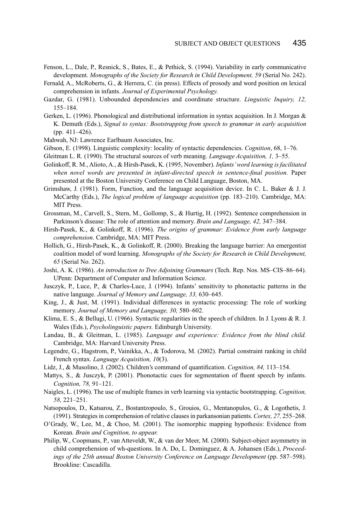- Fenson, L., Dale, P., Resnick, S., Bates, E., & Pethick, S. (1994). Variability in early communicative development. *Monographs of the Society for Research in Child Development, 59* (Serial No. 242).
- Fernald, A., McRoberts, G., & Herrera, C. (in press). Effects of prosody and word position on lexical comprehension in infants. *Journal of Experimental Psychology.*
- Gazdar, G. (1981). Unbounded dependencies and coordinate structure. *Linguistic Inquiry, 12,* 155–184.
- Gerken, L. (1996). Phonological and distributional information in syntax acquisition. In J. Morgan & K. Demuth (Eds.), *Signal to syntax: Bootstrapping from speech to grammar in early acquisition* (pp. 411–426).
- Mahwah, NJ: Lawrence Earlbaum Associates, Inc.
- Gibson, E. (1998). Linguistic complexity: locality of syntactic dependencies. *Cognition*, 68, 1–76.
- Gleitman L. R. (1990). The structural sources of verb meaning. *Language Acquisition, 1,* 3–55.
- Golinkoff, R. M., Alioto, A., & Hirsh-Pasek, K. (1995, November). *Infants'word learning is facilitated when novel words are presented in infant-directed speech in sentence-final position.* Paper presented at the Boston University Conference on Child Language, Boston, MA.
- Grimshaw, J. (1981). Form, Function, and the language acquisition device. In C. L. Baker & J. J. McCarthy (Eds.), *The logical problem of language acquisition* (pp. 183–210). Cambridge, MA: MIT Press.
- Grossman, M., Carvell, S., Stern, M., Gollomp, S., & Hurtig, H. (1992). Sentence comprehension in Parkinson's disease: The role of attention and memory. *Brain and Language, 42,* 347–384.
- Hirsh-Pasek, K., & Golinkoff, R. (1996). *The origins of grammar: Evidence from early language comprehension*. Cambridge, MA: MIT Press.
- Hollich, G., Hirsh-Pasek, K., & Golinkoff, R. (2000). Breaking the language barrier: An emergentist coalition model of word learning. *Monographs of the Society for Research in Child Development, 65* (Serial No. 262).
- Joshi, A. K. (1986). *An introduction to Tree Adjoining Grammars* (Tech. Rep. Nos. MS–CIS–86–64). UPenn: Department of Computer and Information Science.
- Jusczyk, P., Luce, P., & Charles-Luce, J. (1994). Infants' sensitivity to phonotactic patterns in the native language. *Journal of Memory and Language, 33,* 630–645.
- King, J., & Just, M. (1991). Individual differences in syntactic processing: The role of working memory. *Journal of Memory and Language, 30,* 580–602.
- Klima, E. S., & Bellugi, U. (1966). Syntactic regularities in the speech of children. In J. Lyons & R. J. Wales (Eds.), *Psycholinguistic papers.* Edinburgh University.
- Landau, B., & Gleitman, L. (1985). *Language and experience: Evidence from the blind child.* Cambridge, MA: Harvard University Press.
- Legendre, G., Hagstrom, P., Vainikka, A., & Todorova, M. (2002). Partial constraint ranking in child French syntax. *Language Acquisition, 10*(3).
- Lidz, J., & Musolino, J. (2002). Children's command of quantification. *Cognition, 84,* 113–154.
- Mattys, S., & Jusczyk, P. (2001). Phonotactic cues for segmentation of fluent speech by infants. *Cognition, 78,* 91–121.
- Naigles, L. (1996). The use of multiple frames in verb learning via syntactic bootstrapping. *Cognition, 58,* 221–251.
- Natsopoulos, D., Katsarou, Z., Bostantzopoulo, S., Grouios, G., Mentanopulos, G., & Logothetis, J. (1991). Strategies in comprehension of relative clauses in parkansonian patients. *Cortex, 27,* 255–268.
- O'Grady, W., Lee, M., & Choo, M. (2001). The isomorphic mapping hypothesis: Evidence from Korean. *Brain and Cognition, to appear.*
- Philip, W., Coopmans, P., van Atteveldt, W., & van der Meer, M. (2000). Subject-object asymmetry in child comprehension of wh-questions. In A. Do, L. Dominguez, & A. Johansen (Eds.), *Proceedings of the 25th annual Boston University Conference on Language Development* (pp. 587–598). Brookline: Cascadilla.